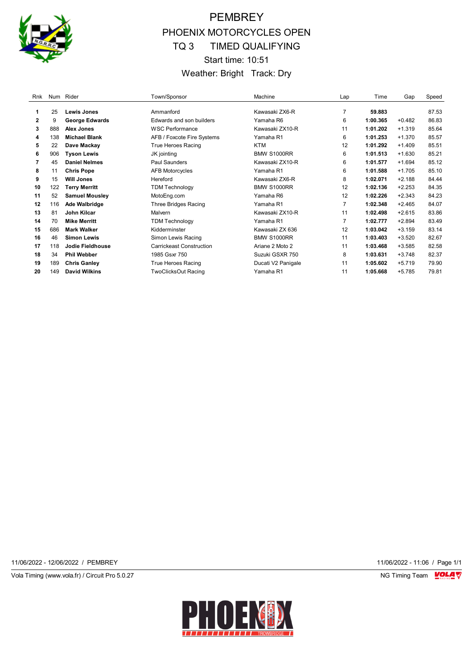

# PEMBREY PHOENIX MOTORCYCLES OPEN TQ 3 TIMED QUALIFYING Start time: 10:51 Weather: Bright Track: Dry

| Rnk          |     | Num Rider             | Town/Sponsor                    | Machine            | Lap | Time     | Gap      | Speed |
|--------------|-----|-----------------------|---------------------------------|--------------------|-----|----------|----------|-------|
|              |     |                       |                                 |                    |     |          |          |       |
| 1            | 25  | <b>Lewis Jones</b>    | Ammanford                       | Kawasaki ZX6-R     | 7   | 59.883   |          | 87.53 |
| $\mathbf{2}$ | 9   | <b>George Edwards</b> | Edwards and son builders        | Yamaha R6          | 6   | 1:00.365 | $+0.482$ | 86.83 |
| 3            | 888 | Alex Jones            | <b>WSC Performance</b>          | Kawasaki ZX10-R    | 11  | 1:01.202 | $+1.319$ | 85.64 |
| 4            | 138 | <b>Michael Blank</b>  | AFB / Foxcote Fire Systems      | Yamaha R1          | 6   | 1:01.253 | $+1.370$ | 85.57 |
| 5            | 22  | Dave Mackay           | True Heroes Racing              | <b>KTM</b>         | 12  | 1:01.292 | $+1.409$ | 85.51 |
| 6            | 906 | <b>Tyson Lewis</b>    | JK jointing                     | <b>BMW S1000RR</b> | 6   | 1:01.513 | $+1.630$ | 85.21 |
| 7            | 45  | <b>Daniel Nelmes</b>  | Paul Saunders                   | Kawasaki ZX10-R    | 6   | 1:01.577 | $+1.694$ | 85.12 |
| 8            | 11  | <b>Chris Pope</b>     | <b>AFB Motorcycles</b>          | Yamaha R1          | 6   | 1:01.588 | $+1.705$ | 85.10 |
| 9            | 15  | <b>Will Jones</b>     | Hereford                        | Kawasaki ZX6-R     | 8   | 1:02.071 | $+2.188$ | 84.44 |
| 10           | 122 | <b>Terry Merritt</b>  | <b>TDM Technology</b>           | <b>BMW S1000RR</b> | 12  | 1:02.136 | $+2.253$ | 84.35 |
| 11           | 52  | <b>Samuel Mousley</b> | MotoEng.com                     | Yamaha R6          | 12  | 1:02.226 | $+2.343$ | 84.23 |
| 12           | 116 | <b>Ade Walbridge</b>  | <b>Three Bridges Racing</b>     | Yamaha R1          | 7   | 1:02.348 | $+2.465$ | 84.07 |
| 13           | 81  | John Kilcar           | Malvern                         | Kawasaki ZX10-R    | 11  | 1:02.498 | $+2.615$ | 83.86 |
| 14           | 70  | <b>Mike Merritt</b>   | <b>TDM Technology</b>           | Yamaha R1          | 7   | 1:02.777 | $+2.894$ | 83.49 |
| 15           | 686 | <b>Mark Walker</b>    | Kidderminster                   | Kawasaki ZX 636    | 12  | 1:03.042 | $+3.159$ | 83.14 |
| 16           | 46  | <b>Simon Lewis</b>    | Simon Lewis Racing              | <b>BMW S1000RR</b> | 11  | 1:03.403 | $+3.520$ | 82.67 |
| 17           | 118 | Jodie Fieldhouse      | <b>Carrickeast Construction</b> | Ariane 2 Moto 2    | 11  | 1:03.468 | $+3.585$ | 82.58 |
| 18           | 34  | <b>Phil Webber</b>    | 1985 Gsxr 750                   | Suzuki GSXR 750    | 8   | 1:03.631 | $+3.748$ | 82.37 |
| 19           | 189 | <b>Chris Ganley</b>   | True Heroes Racing              | Ducati V2 Panigale | 11  | 1:05.602 | $+5.719$ | 79.90 |
| 20           | 149 | <b>David Wilkins</b>  | <b>TwoClicksOut Racing</b>      | Yamaha R1          | 11  | 1:05.668 | $+5.785$ | 79.81 |

11/06/2022 - 12/06/2022 / PEMBREY 11/06/2022 - 11:06 / Page 1/1

Vola Timing (www.vola.fr) / Circuit Pro 5.0.27 NG Timing Team VOLA V

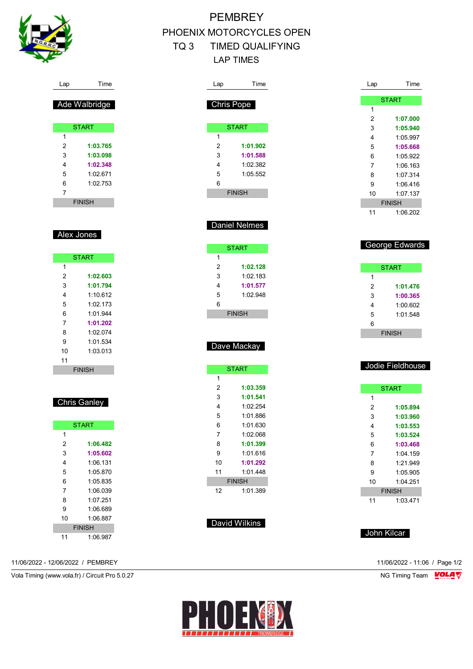

# **PEMBREY** PHOENIX MOTORCYCLES OPEN TQ 3 TIMED QUALIFYING LAP TIMES

| Lap | Time          | Lap            | Time             |
|-----|---------------|----------------|------------------|
|     |               |                | <b>START</b>     |
|     | Chris Pope    | 1              |                  |
|     |               | 2              | 1:07.000         |
|     | <b>START</b>  | 3              | 1:05.940         |
| 1   |               | 4              | 1:05.997         |
| 2   | 1:01.902      | 5              | 1:05.668         |
| 3   | 1:01.588      | 6              | 1:05.922         |
| 4   | 1:02.382      | 7              | 1:06.163         |
| 5   | 1:05.552      | 8              | 1:07.314         |
| 6   |               | 9              | 1:06.416         |
|     | <b>FINISH</b> | 10             | 1:07.137         |
|     |               |                | <b>FINISH</b>    |
|     |               | 11             | 1:06.202         |
|     | Daniel Nelmes |                |                  |
|     |               |                |                  |
|     |               |                |                  |
|     | <b>START</b>  |                | George Edwards   |
| 1   |               |                |                  |
| 2   | 1:02.128      |                | <b>START</b>     |
| 3   | 1:02.183      | 1              |                  |
| 4   | 1:01.577      | 2              | 1:01.476         |
| 5   | 1:02.948      | 3              | 1:00.365         |
| 6   |               | 4              | 1:00.602         |
|     | <b>FINISH</b> | 5              | 1:01.548         |
|     |               | 6              |                  |
|     |               |                | <b>FINISH</b>    |
|     | Dave Mackay   |                |                  |
|     |               |                |                  |
|     |               |                | Jodie Fieldhouse |
|     | <b>START</b>  |                |                  |
| 1   |               |                |                  |
| 2   | 1:03.359      |                | <b>START</b>     |
| 3   | 1:01.541      | 1              |                  |
| 4   | 1:02.254      | 2              | 1:05.894         |
| 5   | 1:01.886      | 3              | 1:03.960         |
| 6   | 1:01.630      | 4              | 1:03.553         |
| 7   | 1:02.068      | 5              | 1:03.524         |
| 8   | 1:01.399      | 6              | 1:03.468         |
| 9   | 1:01.616      | $\overline{7}$ | 1:04.159         |
| 10  | 1:01.292      | 8              | 1:21.949         |
| 11  | 1:01.448      | 9              | 1:05.905         |
|     | <b>FINISH</b> | 10             | 1:04.251         |
| 12  | 1:01.389      |                | <b>FINISH</b>    |

# David Wilkins

1:03.471

John Kilcar

|   | <b>START</b> |
|---|--------------|
| 1 |              |
| 2 | 1:03.765     |
| 3 | 1:03.098     |
| 4 | 1:02.348     |
| 5 | 1:02.671     |

Lap Time

Ade Walbridge

|                | <b>FINISH</b> |  |
|----------------|---------------|--|
| $\overline{7}$ |               |  |
| 6              | 1:02.753      |  |
| ີ              | 1. JZ. JT     |  |

#### Alex Jones

|               | <b>START</b> |  |
|---------------|--------------|--|
| 1             |              |  |
| 2             | 1:02.603     |  |
| 3             | 1:01.794     |  |
| 4             | 1.10 612     |  |
| 5             | 1:02.173     |  |
| 6             | 1.01.944     |  |
| 7             | 1:01.202     |  |
| 8             | 1:02.074     |  |
| 9             | 1.01.534     |  |
| 10            | 1:03:013     |  |
| 11            |              |  |
| <b>FINISH</b> |              |  |

## Chris Ganley

| <b>START</b> |               |  |
|--------------|---------------|--|
| 1            |               |  |
| 2            | 1:06.482      |  |
| 3            | 1:05.602      |  |
| 4            | 1.06131       |  |
| 5            | 1.05.870      |  |
| 6            | 1.05835       |  |
| 7            | 1:06.039      |  |
| 8            | 1.07 251      |  |
| 9            | 1:06.689      |  |
| 10           | 1:06 887      |  |
|              | <b>FINISH</b> |  |
| 11           | 1:06.987      |  |

11/06/2022 - 12/06/2022 / PEMBREY 11/06/2022 - 11:06 / Page 1/2

Vola Timing (www.vola.fr) / Circuit Pro 5.0.27 **NG Timing Team MOLA View Area** NG Timing Team MOLA View Area NG Timing Team MOLA View Area NG Timing Team MOLA View Area NG Timing Team MOLA View Area NG Timing Team MOLA Vie

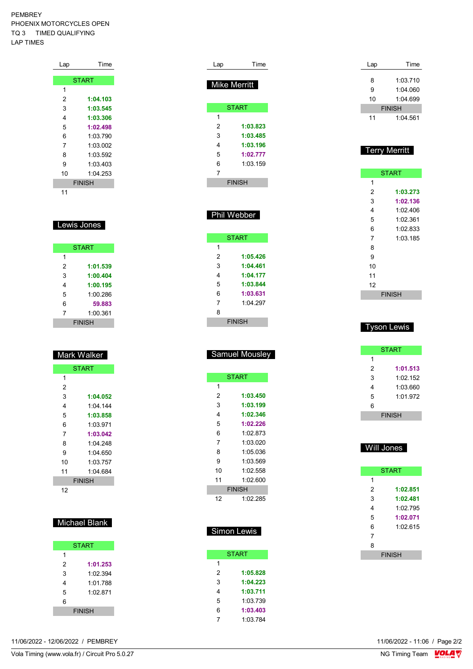PEMBREY PHOENIX MOTORCYCLES OPEN TQ 3 TIMED QUALIFYING LAP TIMES

| Lap | Time          |
|-----|---------------|
|     |               |
|     | <b>START</b>  |
| 1   |               |
| 2   | 1:04.103      |
| 3   | 1:03.545      |
| 4   | 1:03.306      |
| 5   | 1:02.498      |
| 6   | 1:03.790      |
| 7   | 1:03.002      |
| 8   | 1:03.592      |
| 9   | 1:03.403      |
| 10  | 1:04.253      |
|     | <b>FINISH</b> |
| 11  |               |

### Lewis Jones

|   | <b>START</b>  |
|---|---------------|
| 1 |               |
| 2 | 1:01.539      |
| 3 | 1:00.404      |
| 4 | 1:00.195      |
| 5 | 1:00.286      |
| 6 | 59.883        |
| 7 | 1:00.361      |
|   | <b>FINISH</b> |

# Mark Walker

|    | <b>START</b>  |
|----|---------------|
| 1  |               |
| 2  |               |
| 3  | 1:04.052      |
| 4  | 1:04 144      |
| 5  | 1:03.858      |
| 6  | 1:03.971      |
| 7  | 1:03.042      |
| 8  | 1:04.248      |
| 9  | 1:04.650      |
| 10 | 1:03.757      |
| 11 | 1:04.684      |
|    | <b>FINISH</b> |
| 12 |               |

### Michael Blank

|   | <b>START</b>  |  |
|---|---------------|--|
| 1 |               |  |
| 2 | 1:01.253      |  |
| 3 | 1:02.394      |  |
| 4 | 1:01.788      |  |
| 5 | 1.02 871      |  |
| 6 |               |  |
|   | <b>FINISH</b> |  |

| Lap | Time                |
|-----|---------------------|
|     | <b>Mike Merritt</b> |
|     | <b>START</b>        |
| 1   |                     |
| 2   | 1:03.823            |
| 3   | 1:03.485            |
| 4   | 1:03.196            |
| 5   | 1:02.777            |
| 6   | 1:03.159            |
| 7   |                     |
|     | <b>FINISH</b>       |
|     |                     |

### Phil Webber

|   | <b>START</b>  |
|---|---------------|
| 1 |               |
| 2 | 1:05.426      |
| 3 | 1:04.461      |
| 4 | 1:04.177      |
| 5 | 1:03.844      |
| 6 | 1:03.631      |
| 7 | 1.04297       |
| 8 |               |
|   | <b>FINISH</b> |

# Samuel Mousley

| <b>START</b> |               |  |
|--------------|---------------|--|
| 1            |               |  |
| 2            | 1:03.450      |  |
| 3            | 1:03.199      |  |
| 4            | 1:02.346      |  |
| 5            | 1:02.226      |  |
| 6            | 1:02 873      |  |
| 7            | 1:03.020      |  |
| 8            | 1:05 036      |  |
| 9            | 1:03.569      |  |
| 10           | 1:02.558      |  |
| 11           | 1:02.600      |  |
|              | <b>FINISH</b> |  |
| 12           | 1:02.285      |  |

### Simon Lewis

|   | <b>START</b> |
|---|--------------|
| 1 |              |
| 2 | 1:05.828     |
| 3 | 1:04.223     |
| 4 | 1:03.711     |
| 5 | 1:03 739     |
| 6 | 1:03.403     |
| 7 | 1.03784      |
|   |              |

| Lap | Time          |
|-----|---------------|
|     |               |
| 8   | 1:03.710      |
| 9   | 1:04.060      |
| 10  | 1:04.699      |
|     | <b>FINISH</b> |
| 11  | 1.04561       |

### Terry Merritt

|               | <b>START</b> |  |
|---------------|--------------|--|
| 1             |              |  |
| 2             | 1:03.273     |  |
| 3             | 1:02.136     |  |
| 4             | 1:02.406     |  |
| 5             | 1:02.361     |  |
| 6             | 1:02.833     |  |
| 7             | 1:03.185     |  |
| 8             |              |  |
| 9             |              |  |
| 10            |              |  |
| 11            |              |  |
| 12            |              |  |
| <b>FINISH</b> |              |  |

### Tyson Lewis

|   | <b>START</b>  |
|---|---------------|
| 1 |               |
| 2 | 1:01.513      |
| 3 | 1:02.152      |
| 4 | 1:03.660      |
| 5 | 1:01.972      |
| 6 |               |
|   | <b>FINISH</b> |

# Will Jones

|               | <b>START</b> |  |
|---------------|--------------|--|
| 1             |              |  |
| 2             | 1:02.851     |  |
| 3             | 1:02.481     |  |
| 4             | 1:02.795     |  |
| 5             | 1:02.071     |  |
| 6             | 1.02615      |  |
| 7             |              |  |
| 8             |              |  |
| <b>FINISH</b> |              |  |

11/06/2022 - 12/06/2022 / PEMBREY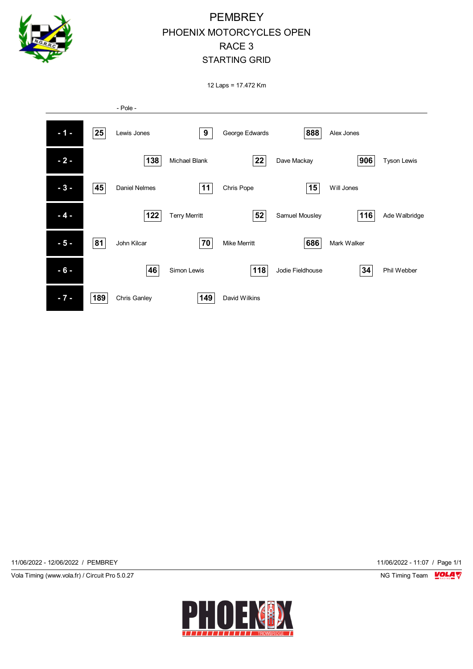

# **PEMBREY** PHOENIX MOTORCYCLES OPEN RACE 3 STARTING GRID

12 Laps = 17.472 Km



11/06/2022 - 12/06/2022 / PEMBREY 11/06/2022 - 11:07 / Page 1/1

Vola Timing (www.vola.fr) / Circuit Pro 5.0.27 NG Timing Team NG Timing Team NG Timing Team NG Timing Team NG

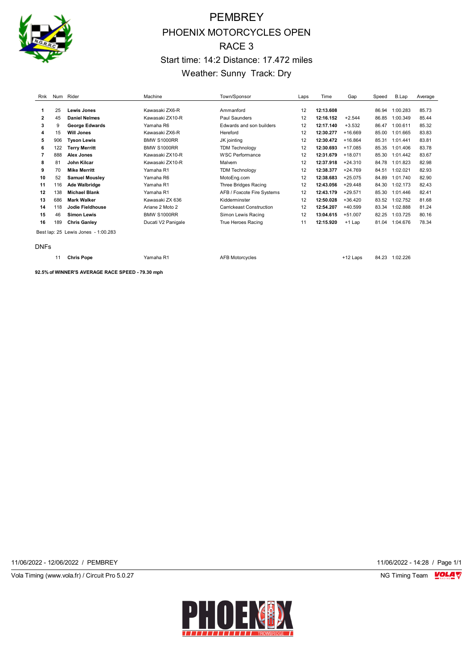

# PEMBREY PHOENIX MOTORCYCLES OPEN RACE 3 Start time: 14:2 Distance: 17.472 miles Weather: Sunny Track: Dry

| Rnk | Num | Rider                               | Machine            | Town/Sponsor               | Laps | Time      | Gap       | Speed | B.Lap    | Average |
|-----|-----|-------------------------------------|--------------------|----------------------------|------|-----------|-----------|-------|----------|---------|
|     |     |                                     |                    |                            |      |           |           |       |          |         |
| 1   | 25  | Lewis Jones                         | Kawasaki ZX6-R     | Ammanford                  | 12   | 12:13.608 |           | 86.94 | 1:00.283 | 85.73   |
| 2   | 45  | <b>Daniel Nelmes</b>                | Kawasaki ZX10-R    | Paul Saunders              | 12   | 12:16.152 | $+2.544$  | 86.85 | 1:00.349 | 85.44   |
| 3   | 9   | <b>George Edwards</b>               | Yamaha R6          | Edwards and son builders   | 12   | 12:17.140 | $+3.532$  | 86.47 | 1:00.611 | 85.32   |
| 4   | 15  | <b>Will Jones</b>                   | Kawasaki ZX6-R     | Hereford                   | 12   | 12:30.277 | $+16.669$ | 85.00 | 1:01.665 | 83.83   |
| 5   | 906 | <b>Tyson Lewis</b>                  | <b>BMW S1000RR</b> | JK jointing                | 12   | 12:30.472 | $+16.864$ | 85.31 | 1:01.441 | 83.81   |
| 6   | 122 | <b>Terry Merritt</b>                | <b>BMW S1000RR</b> | <b>TDM Technology</b>      | 12   | 12:30.693 | $+17.085$ | 85.35 | 1:01.406 | 83.78   |
| 7   | 888 | Alex Jones                          | Kawasaki ZX10-R    | <b>WSC Performance</b>     | 12   | 12:31.679 | $+18.071$ | 85.30 | 1:01.442 | 83.67   |
| 8   | 81  | <b>John Kilcar</b>                  | Kawasaki ZX10-R    | Malvern                    | 12   | 12:37.918 | $+24.310$ | 84.78 | 1:01.823 | 82.98   |
| 9   | 70  | <b>Mike Merritt</b>                 | Yamaha R1          | <b>TDM Technology</b>      | 12   | 12:38.377 | +24.769   | 84.51 | 1:02.021 | 82.93   |
| 10  | 52  | <b>Samuel Mousley</b>               | Yamaha R6          | MotoEng.com                | 12   | 12:38.683 | $+25.075$ | 84.89 | 1:01.740 | 82.90   |
| 11  | 116 | Ade Walbridge                       | Yamaha R1          | Three Bridges Racing       | 12   | 12:43.056 | $+29.448$ | 84.30 | 1:02.173 | 82.43   |
| 12  | 138 | <b>Michael Blank</b>                | Yamaha R1          | AFB / Foxcote Fire Systems | 12   | 12:43.179 | $+29.571$ | 85.30 | 1:01.446 | 82.41   |
| 13  | 686 | <b>Mark Walker</b>                  | Kawasaki ZX 636    | Kidderminster              | 12   | 12:50.028 | $+36.420$ | 83.52 | 1:02.752 | 81.68   |
| 14  | 118 | Jodie Fieldhouse                    | Ariane 2 Moto 2    | Carrickeast Construction   | 12   | 12:54.207 | $+40.599$ | 83.34 | 1:02.888 | 81.24   |
| 15  | 46  | <b>Simon Lewis</b>                  | <b>BMW S1000RR</b> | Simon Lewis Racing         | 12   | 13:04.615 | $+51.007$ | 82.25 | 1:03.725 | 80.16   |
| 16  | 189 | <b>Chris Ganley</b>                 | Ducati V2 Panigale | True Heroes Racing         | 11   | 12:15.920 | $+1$ Lap  | 81.04 | 1:04.676 | 78.34   |
|     |     | Best lap: 25 Lewis Jones - 1:00.283 |                    |                            |      |           |           |       |          |         |

DNFs

**Chris Pope** Yamaha R1 AFB Motorcycles +12 Laps 84.23 1:02.226

**92.5% of WINNER'S AVERAGE RACE SPEED - 79.30 mph**

11/06/2022 - 12/06/2022 / PEMBREY 11/06/2022 - 14:28 / Page 1/1

Vola Timing (www.vola.fr) / Circuit Pro 5.0.27 **NG Timing Team** Vola Timing Team VOLA V

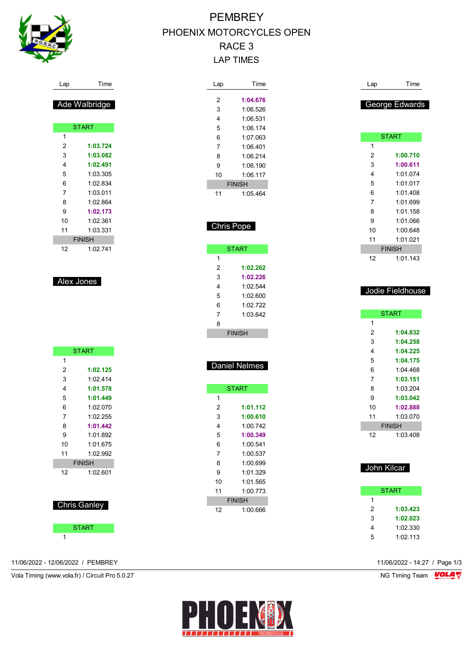

# **PEMBREY** PHOENIX MOTORCYCLES OPEN RACE 3 LAP TIMES

| Lap | Time          |
|-----|---------------|
| 2   | 1:04.676      |
| 3   | 1:06.526      |
| 4   | 1:06.531      |
| 5   | 1:06 174      |
| 6   | 1:07.063      |
| 7   | 1:06 401      |
| 8   | 1:06 214      |
| 9   | 1:06.190      |
| 10  | 1.06117       |
|     | <b>FINISH</b> |
| 11  | 1:05.464      |

| Chris Pope    |                      |  |
|---------------|----------------------|--|
|               | <b>START</b>         |  |
| 1             |                      |  |
| 2             | 1:02.262             |  |
| 3             | 1:02.226             |  |
| 4             | 1:02.544             |  |
| 5             | 1:02.600             |  |
| 6             | 1:02.722             |  |
| 7             | 1:03.642             |  |
| 8             |                      |  |
| <b>FINISH</b> |                      |  |
|               |                      |  |
|               |                      |  |
|               | <b>Daniel Nelmes</b> |  |

|    | <b>START</b>  |
|----|---------------|
| 1  |               |
| 2  | 1:01.112      |
| 3  | 1:00.610      |
| 4  | 1:00.742      |
| 5  | 1:00.349      |
| 6  | 1:00.541      |
| 7  | 1:00.537      |
| 8  | 1:00.699      |
| 9  | 1.01.329      |
| 10 | 1:01.565      |
| 11 | 1:00.773      |
|    | <b>FINISH</b> |
| 12 | 1:00.666      |

| Lap | Time           |
|-----|----------------|
|     | George Edwards |
|     | START          |
| 1   |                |
| 2   | 1:00.710       |
| 3   | 1:00.611       |
| 4   | 1:01.074       |
| 5   | 1.01017        |
| 6   | 1:01.408       |
| 7   | 1:01.699       |
| 8   | 1:01.158       |
| 9   | 1:01.066       |
| 10  | 1:00.648       |
| 11  | 1:01 021       |
|     | <b>FINISH</b>  |
| 12  | 1:01.143       |

| <b>START</b>  |          |  |
|---------------|----------|--|
| 1             |          |  |
| 2             | 1:04.832 |  |
| 3             | 1:04.258 |  |
| 4             | 1:04.225 |  |
| 5             | 1:04.175 |  |
| 6             | 1:04.468 |  |
| 7             | 1:03.151 |  |
| 8             | 1.03.204 |  |
| 9             | 1:03.042 |  |
| 10            | 1:02.888 |  |
| 11            | 1:03.070 |  |
| <b>FINISH</b> |          |  |
| 12            | 1:03.408 |  |
|               |          |  |

Jodie Fieldhouse

### John Kilcar

|   | START    |
|---|----------|
| 1 |          |
| 2 | 1:03.423 |
| 3 | 1:02.023 |
| 4 | 1:02.330 |
| 5 | 1:02.113 |

| 2  | 1:03.724      |
|----|---------------|
| 3  | 1:03.082      |
| 4  | 1:02.491      |
| 5  | 1:03.305      |
| 6  | 1:02 834      |
| 7  | 1:03.011      |
| 8  | 1:02.864      |
| g  | 1:02.173      |
| 10 | 1:02.361      |
| 11 | 1.03.331      |
|    | <b>FINISH</b> |
| 12 | 1:02.741      |
|    |               |
|    |               |

Lap Time

Ade Walbridge

**START** 

Alex Jones

| <b>START</b>  |          |  |
|---------------|----------|--|
| 1             |          |  |
| 2             | 1:02.125 |  |
| 3             | 1:02.414 |  |
| 4             | 1:01.578 |  |
| 5             | 1:01.449 |  |
| 6             | 1:02.070 |  |
| 7             | 1.02.255 |  |
| 8             | 1:01.442 |  |
| 9             | 1:01 892 |  |
| 10            | 1:01.675 |  |
| 11            | 1:02.992 |  |
| <b>FINISH</b> |          |  |
| 12            | 1:02.601 |  |
|               |          |  |





11/06/2022 - 12/06/2022 / PEMBREY 11/06/2022 - 14:27 / Page 1/3

Vola Timing (www.vola.fr) / Circuit Pro 5.0.27 NG Timing Team Monetary NG Timing Team Monetary

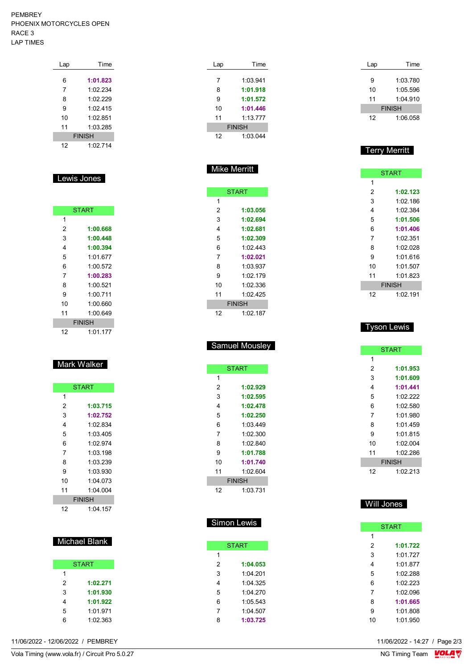#### PEMBREY PHOENIX MOTORCYCLES OPEN  $\mathsf{R}$ LAP TIMES

| LIULINA MUTURUTULLU UL LIN |     |      |  |
|----------------------------|-----|------|--|
| ACE 3                      |     |      |  |
| AP TIMES                   |     |      |  |
|                            |     |      |  |
|                            | Lap | Time |  |

| --~r |               |
|------|---------------|
|      |               |
| 6    | 1:01.823      |
| 7    | 1:02.234      |
| 8    | 1:02.229      |
| 9    | 1:02.415      |
| 10   | 1:02.851      |
| 11   | 1:03.285      |
|      | <b>FINISH</b> |
| 12   | 1.02714       |
|      |               |

#### Lewis Jones

| <b>START</b> |               |  |
|--------------|---------------|--|
| 1            |               |  |
| 2            | 1:00.668      |  |
| 3            | 1:00.448      |  |
| 4            | 1:00.394      |  |
| 5            | 1:01.677      |  |
| 6            | 1:00.572      |  |
| 7            | 1:00.283      |  |
| 8            | 1:00.521      |  |
| 9            | 1:00.711      |  |
| 10           | 1:00.660      |  |
| 11           | 1:00.649      |  |
|              | <b>FINISH</b> |  |
| 12           | 1:01.177      |  |

## Mark Walker

| <b>START</b>  |            |  |
|---------------|------------|--|
| 1             |            |  |
| 2             | 1:03.715   |  |
| 3             | 1:02.752   |  |
| 4             | 1:02.834   |  |
| 5             | 1.03405    |  |
| 6             | 1:02.974   |  |
| 7             | 1:03 198   |  |
| 8             | 1:03.239   |  |
| 9             | 1:03.930   |  |
| 10            | 1:04 073   |  |
| 11            | 1:04.004   |  |
| <b>FINISH</b> |            |  |
| 12            | $1.04$ 157 |  |

#### Michael Blank

| <b>START</b> |          |  |
|--------------|----------|--|
| 1            |          |  |
| 2            | 1:02.271 |  |
| 3            | 1:01.930 |  |
| 4            | 1:01.922 |  |
| 5            | 1:01.971 |  |
| հ            | 1:02.363 |  |

11/06/2022 - 12/06/2022 / PEMBREY

| Lap | Time          |  |
|-----|---------------|--|
|     |               |  |
| 7   | 1:03.941      |  |
| 8   | 1:01.918      |  |
| 9   | 1:01.572      |  |
| 10  | 1:01.446      |  |
| 11  | 1.1377        |  |
|     | <b>FINISH</b> |  |
| 12  | 1.03044       |  |

Mike Merritt

**START** 

 **1:03.056 1:02.694 1:02.681 1:02.309** 1:02.443 **1:02.021** 1:03.937 1:02.179 1:02.336 1:02.425 FINISH 1:02.187

Samuel Mousley

**START** 

 **1:02.929 1:02.595 1:02.478 1:02.250** 1:03.449 1:02.300 1:02.840 **1:01.788 1:01.740** 1:02.604 FINISH 1:03.731

Simon Lewis

**START** 

 **1:04.053** 1:04.201 1:04.325 1:04.270 1:05.543 1:04.507 **1:03.725**

 $\overline{1}$ 

| Lap | Time          |
|-----|---------------|
|     |               |
| 9   | 1:03.780      |
| 10  | 1:05.596      |
| 11  | 1.04.910      |
|     | <b>FINISH</b> |
| 12  | 1:06.058      |

### Terry Merritt

| <b>START</b>  |          |  |
|---------------|----------|--|
| 1             |          |  |
| 2             | 1:02.123 |  |
| 3             | 1:02.186 |  |
| 4             | 1:02.384 |  |
| 5             | 1:01.506 |  |
| 6             | 1:01.406 |  |
| 7             | 1:02.351 |  |
| 8             | 1:02.028 |  |
| 9             | 1:01 616 |  |
| 10            | 1:01.507 |  |
| 11            | 1:01 823 |  |
| <b>FINISH</b> |          |  |
| 12            | 1:02.191 |  |

#### Tyson Lewis

| <b>START</b> |               |  |
|--------------|---------------|--|
| 1            |               |  |
| 2            | 1:01.953      |  |
| 3            | 1:01.609      |  |
| 4            | 1:01.441      |  |
| 5            | 1.02.222      |  |
| 6            | 1:02.580      |  |
| 7            | 1:01.980      |  |
| 8            | 1.01459       |  |
| 9            | 1:01.815      |  |
| 10           | 1:02.004      |  |
| 11           | 1 02 286      |  |
|              | <b>FINISH</b> |  |
| 12           | 1:02.213      |  |

#### Will Jones

| <b>START</b> |          |  |  |  |  |  |  |  |  |  |
|--------------|----------|--|--|--|--|--|--|--|--|--|
| 1            |          |  |  |  |  |  |  |  |  |  |
| 2            | 1:01.722 |  |  |  |  |  |  |  |  |  |
| 3            | 1:01.727 |  |  |  |  |  |  |  |  |  |
| 4            | 1:01.877 |  |  |  |  |  |  |  |  |  |
| 5            | 1:02.288 |  |  |  |  |  |  |  |  |  |
| 6            | 1:02.223 |  |  |  |  |  |  |  |  |  |
| 7            | 1.02096  |  |  |  |  |  |  |  |  |  |
| 8            | 1:01.665 |  |  |  |  |  |  |  |  |  |
| 9            | 1:01.808 |  |  |  |  |  |  |  |  |  |
| 10           | 1:01.950 |  |  |  |  |  |  |  |  |  |

11/06/2022 - 14:27 / Page 2/3<br>NG Timing Team  $\sqrt{\text{OLA}}$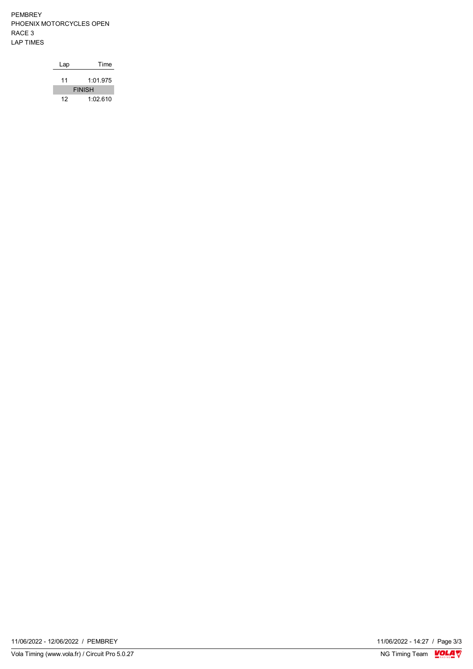PEMBREY PHOENIX MOTORCYCLES OPEN RACE 3 LAP TIMES

| Lap | Time          |
|-----|---------------|
| 11  | 1.01975       |
|     | <b>FINISH</b> |
| 12  | 1:02.610      |

11/06/2022 - 14:27 / Page 3/3<br>NG Timing Team  $\frac{\text{VOLA}}{\text{V}}$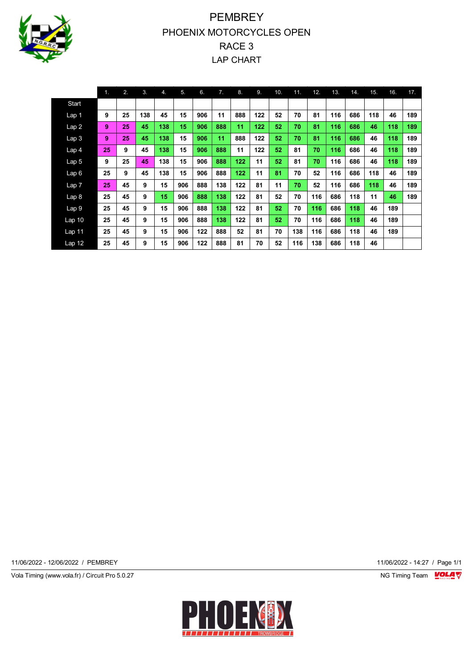

# **PEMBREY** PHOENIX MOTORCYCLES OPEN RACE 3 LAP CHART

|                   | 1 <sub>1</sub> | 2. | 3.  | 4.  | 5.  | 6.  | 7.  | 8.  | 9.  | 10. | 11. | 12. | 13. | 14. | 15. | 16. | 17. |
|-------------------|----------------|----|-----|-----|-----|-----|-----|-----|-----|-----|-----|-----|-----|-----|-----|-----|-----|
| Start             |                |    |     |     |     |     |     |     |     |     |     |     |     |     |     |     |     |
| Lap 1             | 9              | 25 | 138 | 45  | 15  | 906 | 11  | 888 | 122 | 52  | 70  | 81  | 116 | 686 | 118 | 46  | 189 |
| Lap2              | 9              | 25 | 45  | 138 | 15  | 906 | 888 | 11  | 122 | 52  | 70  | 81  | 116 | 686 | 46  | 118 | 189 |
| Lap3              | 9              | 25 | 45  | 138 | 15  | 906 | 11  | 888 | 122 | 52  | 70  | 81  | 116 | 686 | 46  | 118 | 189 |
| Lap <sub>4</sub>  | 25             | 9  | 45  | 138 | 15  | 906 | 888 | 11  | 122 | 52  | 81  | 70  | 116 | 686 | 46  | 118 | 189 |
| Lap 5             | 9              | 25 | 45  | 138 | 15  | 906 | 888 | 122 | 11  | 52  | 81  | 70  | 116 | 686 | 46  | 118 | 189 |
| Lap6              | 25             | 9  | 45  | 138 | 15  | 906 | 888 | 122 | 11  | 81  | 70  | 52  | 116 | 686 | 118 | 46  | 189 |
| Lap 7             | 25             | 45 | 9   | 15  | 906 | 888 | 138 | 122 | 81  | 11  | 70  | 52  | 116 | 686 | 118 | 46  | 189 |
| Lap <sub>8</sub>  | 25             | 45 | 9   | 15  | 906 | 888 | 138 | 122 | 81  | 52  | 70  | 116 | 686 | 118 | 11  | 46  | 189 |
| Lap 9             | 25             | 45 | 9   | 15  | 906 | 888 | 138 | 122 | 81  | 52  | 70  | 116 | 686 | 118 | 46  | 189 |     |
| Lap <sub>10</sub> | 25             | 45 | 9   | 15  | 906 | 888 | 138 | 122 | 81  | 52  | 70  | 116 | 686 | 118 | 46  | 189 |     |
| Lap 11            | 25             | 45 | 9   | 15  | 906 | 122 | 888 | 52  | 81  | 70  | 138 | 116 | 686 | 118 | 46  | 189 |     |
| Lap 12            | 25             | 45 | 9   | 15  | 906 | 122 | 888 | 81  | 70  | 52  | 116 | 138 | 686 | 118 | 46  |     |     |

11/06/2022 - 12/06/2022 / PEMBREY 11/06/2022 - 14:27 / Page 1/1

Vola Timing (www.vola.fr) / Circuit Pro 5.0.27 NG Timing Team VOLA V